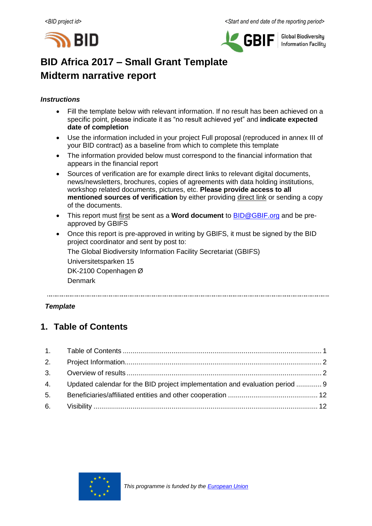



**Global Biodiversity Information Facility** 

# **BID Africa 2017 – Small Grant Template Midterm narrative report**

#### *Instructions*

- Fill the template below with relevant information. If no result has been achieved on a specific point, please indicate it as "no result achieved yet" and **indicate expected date of completion**
- Use the information included in your project Full proposal (reproduced in annex III of your BID contract) as a baseline from which to complete this template
- The information provided below must correspond to the financial information that appears in the financial report
- Sources of verification are for example direct links to relevant digital documents, news/newsletters, brochures, copies of agreements with data holding institutions, workshop related documents, pictures, etc. **Please provide access to all mentioned sources of verification** by either providing direct link or sending a copy of the documents.
- This report must first be sent as a **Word document** to [BID@GBIF.org](mailto:BID@GBIF.org) and be preapproved by GBIFS
- Once this report is pre-approved in writing by GBIFS, it must be signed by the BID project coordinator and sent by post to:

The Global Biodiversity Information Facility Secretariat (GBIFS)

Universitetsparken 15

DK-2100 Copenhagen Ø

Denmark

#### *Template*

# <span id="page-0-0"></span>**1. Table of Contents**

| 4. Updated calendar for the BID project implementation and evaluation period  9 |  |
|---------------------------------------------------------------------------------|--|
|                                                                                 |  |
|                                                                                 |  |

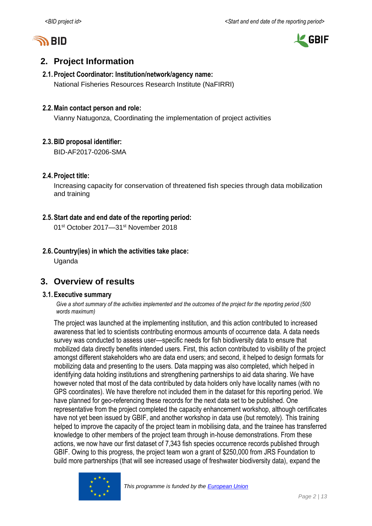



# <span id="page-1-0"></span>**2. Project Information**

# **2.1.Project Coordinator: Institution/network/agency name:**

National Fisheries Resources Research Institute (NaFIRRI)

## **2.2.Main contact person and role:**

Vianny Natugonza, Coordinating the implementation of project activities

## <span id="page-1-1"></span>**2.3.BID proposal identifier:**

BID-AF2017-0206-SMA

## **2.4.Project title:**

Increasing capacity for conservation of threatened fish species through data mobilization and training

## **2.5.Start date and end date of the reporting period:**

01st October 2017—31st November 2018

# **2.6.Country(ies) in which the activities take place:**

Uganda

# **3. Overview of results**

#### **3.1.Executive summary**

Give a short summary of the activities implemented and the outcomes of the project for the *reporting period* (500 *words maximum)*

The project was launched at the implementing institution, and this action contributed to increased awareness that led to scientists contributing enormous amounts of occurrence data. A data needs survey was conducted to assess user—specific needs for fish biodiversity data to ensure that mobilized data directly benefits intended users. First, this action contributed to visibility of the project amongst different stakeholders who are data end users; and second, it helped to design formats for mobilizing data and presenting to the users. Data mapping was also completed, which helped in identifying data holding institutions and strengthening partnerships to aid data sharing. We have however noted that most of the data contributed by data holders only have locality names (with no GPS coordinates). We have therefore not included them in the dataset for this reporting period. We have planned for geo-referencing these records for the next data set to be published. One representative from the project completed the capacity enhancement workshop, although certificates have not yet been issued by GBIF, and another workshop in data use (but remotely). This training helped to improve the capacity of the project team in mobilising data, and the trainee has transferred knowledge to other members of the project team through in-house demonstrations. From these actions, we now have our first dataset of 7,343 fish species occurrence records published through GBIF. Owing to this progress, the project team won a grant of \$250,000 from JRS Foundation to build more partnerships (that will see increased usage of freshwater biodiversity data), expand the

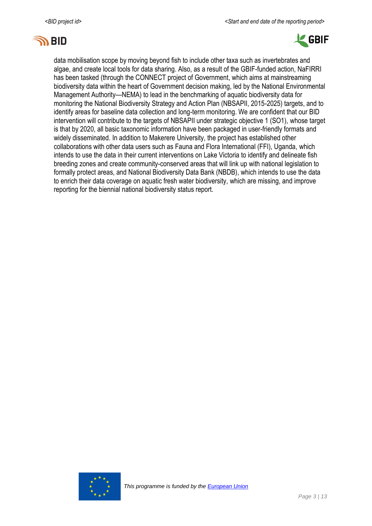



data mobilisation scope by moving beyond fish to include other taxa such as invertebrates and algae, and create local tools for data sharing. Also, as a result of the GBIF-funded action, NaFIRRI has been tasked (through the CONNECT project of Government, which aims at mainstreaming biodiversity data within the heart of Government decision making, led by the National Environmental Management Authority—NEMA) to lead in the benchmarking of aquatic biodiversity data for monitoring the National Biodiversity Strategy and Action Plan (NBSAPII, 2015-2025) targets, and to identify areas for baseline data collection and long-term monitoring. We are confident that our BID intervention will contribute to the targets of NBSAPII under strategic objective 1 (SO1), whose target is that by 2020, all basic taxonomic information have been packaged in user-friendly formats and widely disseminated. In addition to Makerere University, the project has established other collaborations with other data users such as Fauna and Flora International (FFI), Uganda, which intends to use the data in their current interventions on Lake Victoria to identify and delineate fish breeding zones and create community-conserved areas that will link up with national legislation to formally protect areas, and National Biodiversity Data Bank (NBDB), which intends to use the data to enrich their data coverage on aquatic fresh water biodiversity, which are missing, and improve reporting for the biennial national biodiversity status report.

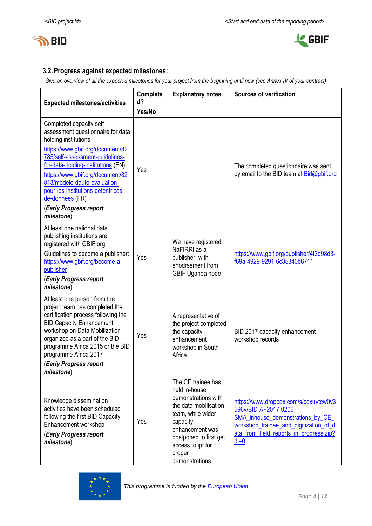



# **3.2.Progress against expected milestones:**

*Give an overview of all the expected milestones for your project from the beginning until now (see Annex IV of your contract)*

| <b>Expected milestones/activities</b>                                                                                                                                                                                                                                                                                                                                   | Complete<br>$d$ ?<br>Yes/No | <b>Explanatory notes</b>                                                                                                                                                                                           | <b>Sources of verification</b>                                                                                                                                                                     |
|-------------------------------------------------------------------------------------------------------------------------------------------------------------------------------------------------------------------------------------------------------------------------------------------------------------------------------------------------------------------------|-----------------------------|--------------------------------------------------------------------------------------------------------------------------------------------------------------------------------------------------------------------|----------------------------------------------------------------------------------------------------------------------------------------------------------------------------------------------------|
| Completed capacity self-<br>assessment questionnaire for data<br>holding institutions<br>https://www.gbif.org/document/82<br>785/self-assessment-guidelines-<br>for-data-holding-institutions (EN)<br>https://www.gbif.org/document/82<br>813/modele-dauto-evaluation-<br>pour-les-institutions-detentrices-<br>de-donnees (FR)<br>(Early Progress report<br>milestone) | Yes                         |                                                                                                                                                                                                                    | The completed questionnaire was sent<br>by email to the BID team at Bid@gbif.org                                                                                                                   |
| At least one national data<br>publishing institutions are<br>registered with GBIF.org<br>Guidelines to become a publisher:<br>https://www.gbif.org/become-a-<br>publisher<br>(Early Progress report<br>milestone)                                                                                                                                                       | Yes                         | We have registered<br>NaFIRRI as a<br>publisher, with<br>enodrsement from<br>GBIF Uganda node                                                                                                                      | https://www.gbif.org/publisher/4f3d98d3-<br>f69a-4929-9291-6c35340b6711                                                                                                                            |
| At least one person from the<br>project team has completed the<br>certification process following the<br><b>BID Capacity Enhancement</b><br>workshop on Data Mobilization<br>organized as a part of the BID<br>programme Africa 2015 or the BID<br>programme Africa 2017<br>(Early Progress report<br>milestone)                                                        | Yes                         | A representative of<br>the project completed<br>the capacity<br>enhancement<br>workshop in South<br>Africa                                                                                                         | BID 2017 capacity enhancement<br>workshop records                                                                                                                                                  |
| Knowledge dissemination<br>activities have been scheduled<br>following the first BID Capacity<br>Enhancement workshop<br>(Early Progress report<br>milestone)                                                                                                                                                                                                           | Yes                         | The CE trainee has<br>held in-house<br>demonstrations with<br>the data mobilisation<br>team, while wider<br>capacity<br>enhancement was<br>postponed to first get<br>access to ipt for<br>proper<br>demonstrations | https://www.dropbox.com/s/cdxuytcw0v3<br>596v/BID-AF2017-0206-<br>SMA_inhouse_demonstrations_by_CE_<br>workshop trainee and digitization of d<br>ata from field reports in progress.zip?<br>$dl=0$ |

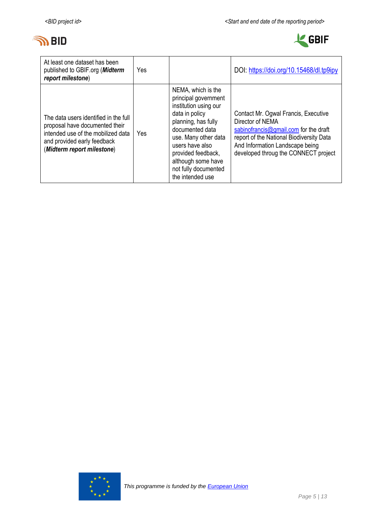



| At least one dataset has been<br>published to GBIF.org (Midterm<br>report milestone)                                                                                       | Yes |                                                                                                                                                                                                                                                                    | DOI: https://doi.org/10.15468/dl.tp9ipy                                                                                                                                                                                  |
|----------------------------------------------------------------------------------------------------------------------------------------------------------------------------|-----|--------------------------------------------------------------------------------------------------------------------------------------------------------------------------------------------------------------------------------------------------------------------|--------------------------------------------------------------------------------------------------------------------------------------------------------------------------------------------------------------------------|
| The data users identified in the full<br>proposal have documented their<br>intended use of the mobilized data<br>and provided early feedback<br>(Midterm report milestone) | Yes | NEMA, which is the<br>principal government<br>institution using our<br>data in policy<br>planning, has fully<br>documented data<br>use. Many other data<br>users have also<br>provided feedback,<br>although some have<br>not fully documented<br>the intended use | Contact Mr. Ogwal Francis, Executive<br>Director of NEMA<br>sabinofrancis@gmail.com for the draft<br>report of the National Biodiversity Data<br>And Information Landscape being<br>developed throug the CONNECT project |

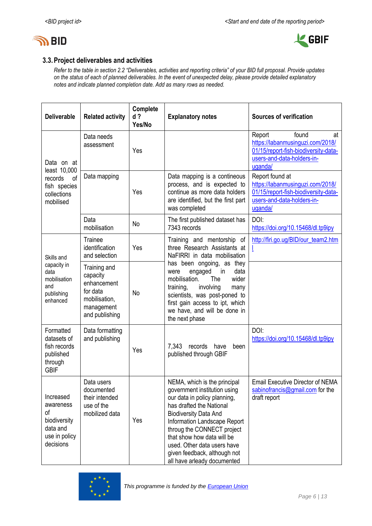



# **3.3.Project deliverables and activities**

*Refer to the table in section 2.2 "Deliverables, activities and reporting criteria" of your BID full proposal. Provide updates on the status of each of planned deliverables. In the event of unexpected delay, please provide detailed explanatory notes and indicate planned completion date. Add as many rows as needed.*

| <b>Deliverable</b>                                                                     | <b>Related activity</b>                                                                              | <b>Complete</b><br>$d$ ?<br>Yes/No | <b>Explanatory notes</b>                                                                                                                                                                                                                                                                                                                           | <b>Sources of verification</b>                                                                                                             |
|----------------------------------------------------------------------------------------|------------------------------------------------------------------------------------------------------|------------------------------------|----------------------------------------------------------------------------------------------------------------------------------------------------------------------------------------------------------------------------------------------------------------------------------------------------------------------------------------------------|--------------------------------------------------------------------------------------------------------------------------------------------|
| Data on at<br>least 10,000                                                             | Data needs<br>assessment                                                                             | Yes                                |                                                                                                                                                                                                                                                                                                                                                    | Report<br>found<br>at<br>https://labanmusinguzi.com/2018/<br>01/15/report-fish-biodiversity-data-<br>users-and-data-holders-in-<br>uganda/ |
| records<br>of<br>fish species<br>collections<br>mobilised                              | Data mapping                                                                                         | Yes                                | Data mapping is a contineous<br>process, and is expected to<br>continue as more data holders<br>are identified, but the first part<br>was completed                                                                                                                                                                                                | Report found at<br>https://labanmusinguzi.com/2018/<br>01/15/report-fish-biodiversity-data-<br>users-and-data-holders-in-<br>uganda/       |
|                                                                                        | Data<br>mobilisation                                                                                 | <b>No</b>                          | The first published dataset has<br>7343 records                                                                                                                                                                                                                                                                                                    | DOI:<br>https://doi.org/10.15468/dl.tp9ipy                                                                                                 |
| Skills and                                                                             | <b>Trainee</b><br>identification<br>and selection                                                    | Yes                                | Training and mentorship of<br>three Research Assistants at<br>NaFIRRI in data mobilisation                                                                                                                                                                                                                                                         | http://firi.go.ug/BID/our_team2.htm                                                                                                        |
| capacity in<br>data<br>mobilisation<br>and<br>publishing<br>enhanced                   | Training and<br>capacity<br>enhancement<br>for data<br>mobilisation,<br>management<br>and publishing | No                                 | has been ongoing, as they<br>engaged<br>in<br>data<br>were<br>mobilisation.<br>The<br>wider<br>training,<br>involving<br>many<br>scientists, was post-poned to<br>first gain access to ipt, which<br>we have, and will be done in<br>the next phase                                                                                                |                                                                                                                                            |
| Formatted<br>datasets of<br>fish records<br>published<br>through<br><b>GBIF</b>        | Data formatting<br>and publishing                                                                    | Yes                                | records have<br>7,343<br>been<br>published through GBIF                                                                                                                                                                                                                                                                                            | DOI:<br>https://doi.org/10.15468/dl.tp9ipy                                                                                                 |
| Increased<br>awareness<br>οf<br>biodiversity<br>data and<br>use in policy<br>decisions | Data users<br>documented<br>their intended<br>use of the<br>mobilized data                           | Yes                                | NEMA, which is the principal<br>government institution using<br>our data in policy planning,<br>has drafted the National<br><b>Biodiversity Data And</b><br>Information Landscape Report<br>throug the CONNECT project<br>that show how data will be<br>used. Other data users have<br>given feedback, although not<br>all have arleady documented | Email Executive Director of NEMA<br>sabinofrancis@gmail.com for the<br>draft report                                                        |

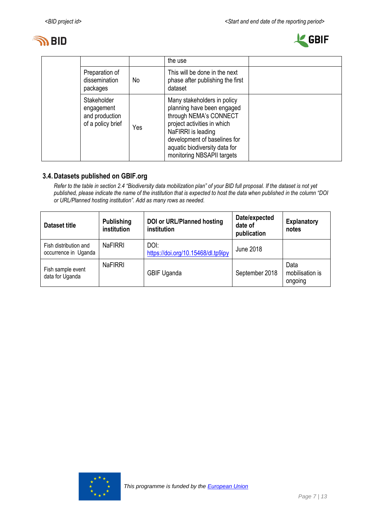



|                                                                  |     | the use                                                                                                                                                                                                                                 |  |
|------------------------------------------------------------------|-----|-----------------------------------------------------------------------------------------------------------------------------------------------------------------------------------------------------------------------------------------|--|
| Preparation of<br>dissemination<br>packages                      | No. | This will be done in the next<br>phase after publishing the first<br>dataset                                                                                                                                                            |  |
| Stakeholder<br>engagement<br>and production<br>of a policy brief | Yes | Many stakeholders in policy<br>planning have been engaged<br>through NEMA's CONNECT<br>project activities in which<br>NaFIRRI is leading<br>development of baselines for<br>aquatic biodiversity data for<br>monitoring NBSAPII targets |  |

## **3.4.Datasets published on GBIF.org**

*Refer to the table in section 2.4 "Biodiversity data mobilization plan" of your BID full proposal. If the dataset is not yet published, please indicate the name of the institution that is expected to host the data when published in the column "DOI or URL/Planned hosting institution". Add as many rows as needed.*

| Dataset title                                 | <b>Publishing</b><br>institution | <b>DOI or URL/Planned hosting</b><br>institution | Date/expected<br>date of<br>publication | <b>Explanatory</b><br>notes        |
|-----------------------------------------------|----------------------------------|--------------------------------------------------|-----------------------------------------|------------------------------------|
| Fish distribution and<br>occurrence in Uganda | <b>NaFIRRI</b>                   | DOI:<br>https://doi.org/10.15468/dl.tp9ipy       | June 2018                               |                                    |
| Fish sample event<br>data for Uganda          | <b>NaFIRRI</b>                   | <b>GBIF Uganda</b>                               | September 2018                          | Data<br>mobilisation is<br>ongoing |

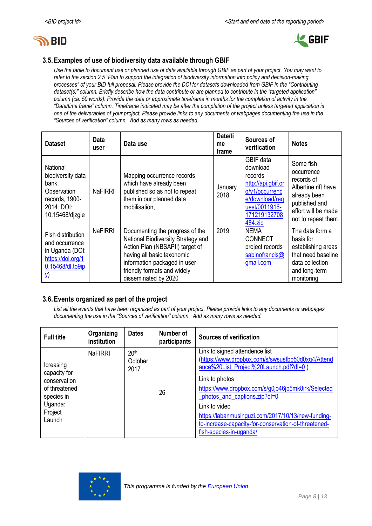



## **3.5.Examples of use of biodiversity data available through GBIF**

*Use the table to document use or planned use of data available through GBIF as part of your project. You may want to refer to the section 2.5 "Plan to support the integration of biodiversity information into policy and decision-making processes" of your BID full proposal. Please provide the DOI for datasets downloaded from GBIF in the "Contributing dataset(s)" column. Briefly describe how the data contribute or are planned to contribute in the "targeted application" column (ca. 50 words). Provide the date or approximate timeframe in months for the completion of activity in the "Date/time frame" column. Timeframe indicated may be after the completion of the project unless targeted application is one of the deliverables of your project. Please provide links to any documents or webpages documenting the use in the "Sources of verification" column. Add as many rows as needed.*

| <b>Dataset</b>                                                                                              | Data<br>user   | Data use                                                                                                                                                                                                                       | Date/ti<br>me<br>frame | Sources of<br>verification                                                                                                             | <b>Notes</b>                                                                                                                               |
|-------------------------------------------------------------------------------------------------------------|----------------|--------------------------------------------------------------------------------------------------------------------------------------------------------------------------------------------------------------------------------|------------------------|----------------------------------------------------------------------------------------------------------------------------------------|--------------------------------------------------------------------------------------------------------------------------------------------|
| National<br>biodiversity data<br>bank.<br>Observation<br>records, 1900-<br>2014, DOI:<br>10.15468/djzgie    | <b>NaFIRRI</b> | Mapping occurrence records<br>which have already been<br>published so as not to repeat<br>them in our planned data<br>mobilisation,                                                                                            | January<br>2018        | GBIF data<br>download<br>records<br>http://api.gbif.or<br>g/v1/occurrenc<br>e/download/req<br>uest/0011916-<br>171219132708<br>484.zip | Some fish<br>occurrence<br>records of<br>Albertine rift have<br>already been<br>published and<br>effort will be made<br>not to repeat them |
| Fish distribution<br>and occurrence<br>in Uganda (DOI:<br>https://doi.org/1<br>0.15468/dl.tp9ip<br><u>V</u> | <b>NaFIRRI</b> | Documenting the progress of the<br>National Biodiversity Strategy and<br>Action Plan (NBSAPII) target of<br>having all basic taxonomic<br>information packaged in user-<br>friendly formats and widely<br>disseminated by 2020 | 2019                   | <b>NEMA</b><br><b>CONNECT</b><br>project records<br>sabinofrancis@<br>gmail.com                                                        | The data form a<br>basis for<br>establishing areas<br>that need baseline<br>data collection<br>and long-term<br>monitoring                 |

## **3.6.Events organized as part of the project**

*List all the events that have been organized as part of your project. Please provide links to any documents or webpages documenting the use in the "Sources of verification" column. Add as many rows as needed.*

| <b>Full title</b>                                                                                        | Organizing<br>institution | <b>Dates</b>                        | Number of<br>participants | <b>Sources of verification</b>                                                                                                                                                                                                                                                                                                                                                                  |
|----------------------------------------------------------------------------------------------------------|---------------------------|-------------------------------------|---------------------------|-------------------------------------------------------------------------------------------------------------------------------------------------------------------------------------------------------------------------------------------------------------------------------------------------------------------------------------------------------------------------------------------------|
| Icreasing<br>capacity for<br>conservation<br>of threatened<br>species in<br>Uganda:<br>Project<br>Launch | <b>NaFIRRI</b>            | 20 <sup>th</sup><br>October<br>2017 | 26                        | Link to signed attendence list<br>(https://www.dropbox.com/s/swsusfbp50d0xg4/Attend<br>ance%20List_Project%20Launch.pdf?dl=0)<br>Link to photos<br>https://www.dropbox.com/s/g0jo46jp5mk8irk/Selected<br>photos_and_captions.zip?dl=0<br>Link to video<br>https://labanmusinguzi.com/2017/10/13/new-funding-<br>to-increase-capacity-for-conservation-of-threatened-<br>fish-species-in-uganda/ |

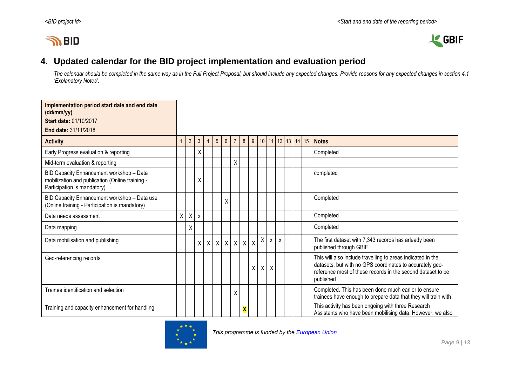# **IN BID**



# **4. Updated calendar for the BID project implementation and evaluation period**

*The calendar should be completed in the same way as in the Full Project Proposal, but should include any expected changes. Provide reasons for any expected changes in section 4.1 'Explanatory Notes'.*

<span id="page-8-0"></span>

| Implementation period start date and end date<br>(dd/mm/yy)                                                                |   |                |   |                |                  |                  |                |              |                |   |                      |              |  |                      |                                                                                                                                                                                                     |
|----------------------------------------------------------------------------------------------------------------------------|---|----------------|---|----------------|------------------|------------------|----------------|--------------|----------------|---|----------------------|--------------|--|----------------------|-----------------------------------------------------------------------------------------------------------------------------------------------------------------------------------------------------|
| <b>Start date: 01/10/2017</b>                                                                                              |   |                |   |                |                  |                  |                |              |                |   |                      |              |  |                      |                                                                                                                                                                                                     |
| End date: 31/11/2018                                                                                                       |   |                |   |                |                  |                  |                |              |                |   |                      |              |  |                      |                                                                                                                                                                                                     |
| <b>Activity</b>                                                                                                            |   | $\overline{2}$ | 3 | $\overline{4}$ | 5 <sup>5</sup>   | $6 \overline{6}$ | $\overline{7}$ | 8            | 9 <sup>1</sup> |   | $10 \mid 11 \mid 12$ |              |  | $13 \mid 14 \mid 15$ | <b>Notes</b>                                                                                                                                                                                        |
| Early Progress evaluation & reporting                                                                                      |   |                | Χ |                |                  |                  |                |              |                |   |                      |              |  |                      | Completed                                                                                                                                                                                           |
| Mid-term evaluation & reporting                                                                                            |   |                |   |                |                  |                  | X              |              |                |   |                      |              |  |                      |                                                                                                                                                                                                     |
| BID Capacity Enhancement workshop - Data<br>mobilization and publication (Online training -<br>Participation is mandatory) |   |                | Χ |                |                  |                  |                |              |                |   |                      |              |  |                      | completed                                                                                                                                                                                           |
| BID Capacity Enhancement workshop - Data use<br>(Online training - Participation is mandatory)                             |   |                |   |                |                  | Χ                |                |              |                |   |                      |              |  |                      | Completed                                                                                                                                                                                           |
| Data needs assessment                                                                                                      | X | X              | X |                |                  |                  |                |              |                |   |                      |              |  |                      | Completed                                                                                                                                                                                           |
| Data mapping                                                                                                               |   | Χ              |   |                |                  |                  |                |              |                |   |                      |              |  |                      | Completed                                                                                                                                                                                           |
| Data mobilisation and publishing                                                                                           |   |                | X | $\mathsf{X}$   | $\boldsymbol{X}$ |                  | $X$ $X$        | $\mathsf{X}$ | $\mathsf{X}$   | X | $\mathsf{X}$         | $\mathsf{x}$ |  |                      | The first dataset with 7,343 records has arleady been<br>published through GBIF                                                                                                                     |
| Geo-referencing records                                                                                                    |   |                |   |                |                  |                  |                |              | $\mathsf{X}$   | X | X                    |              |  |                      | This will also include travelling to areas indicated in the<br>datasets, but with no GPS coordinates to accurately geo-<br>reference most of these records in the second dataset to be<br>published |
| Trainee identification and selection                                                                                       |   |                |   |                |                  |                  | X              |              |                |   |                      |              |  |                      | Completed. This has been done much earlier to ensure<br>trainees have enough to prepare data that they will train with                                                                              |
| Training and capacity enhancement for handling                                                                             |   |                |   |                |                  |                  |                | X            |                |   |                      |              |  |                      | This activity has been ongoing with three Research<br>Assistants who have been mobilising data. However, we also                                                                                    |

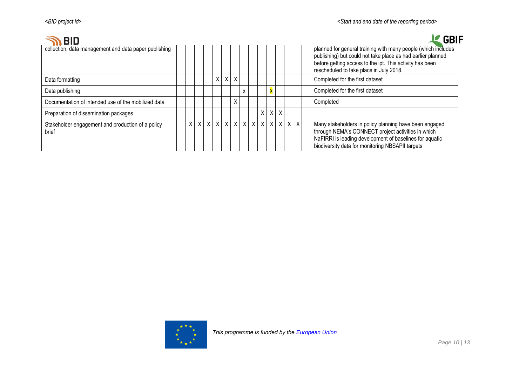|                                                            |         |               |   |        |              |   |                           |                         |  |  | GBIF                                                                                                                                                                                                                                |
|------------------------------------------------------------|---------|---------------|---|--------|--------------|---|---------------------------|-------------------------|--|--|-------------------------------------------------------------------------------------------------------------------------------------------------------------------------------------------------------------------------------------|
| collection, data management and data paper publishing      |         |               |   |        |              |   |                           |                         |  |  | planned for general training with many people (which includes<br>publishing) but could not take place as had earlier planned<br>before getting access to the ipt. This activity has been<br>rescheduled to take place in July 2018. |
| Data formatting                                            |         |               | X | $\chi$ | $\times$     |   |                           |                         |  |  | Completed for the first dataset                                                                                                                                                                                                     |
| Data publishing                                            |         |               |   |        |              | X |                           | $\overline{\mathbf{x}}$ |  |  | Completed for the first dataset                                                                                                                                                                                                     |
| Documentation of intended use of the mobilized data        |         |               |   |        | X            |   |                           |                         |  |  | Completed                                                                                                                                                                                                                           |
| Preparation of dissemination packages                      |         |               |   |        |              |   |                           | $X$ $X$ $X$             |  |  |                                                                                                                                                                                                                                     |
| Stakeholder engagement and production of a policy<br>brief | $\sf X$ | x   x   x   x |   |        | $\mathsf{X}$ |   | x   x   x   x   x   x   x |                         |  |  | Many stakeholders in policy planning have been engaged<br>through NEMA's CONNECT project activities in which<br>NaFIRRI is leading development of baselines for aquatic<br>biodiversity data for monitoring NBSAPII targets         |

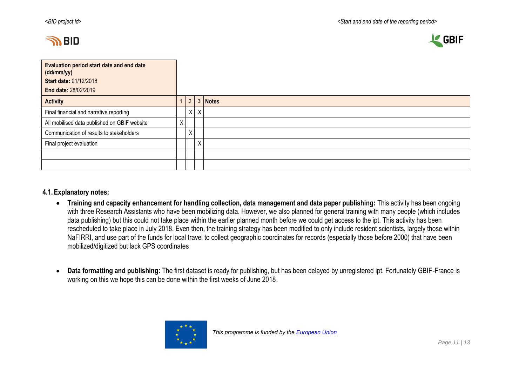



| Evaluation period start date and end date<br>(dd/mm/yy) |   |                |         |         |
|---------------------------------------------------------|---|----------------|---------|---------|
| <b>Start date: 01/12/2018</b>                           |   |                |         |         |
| End date: 28/02/2019                                    |   |                |         |         |
| <b>Activity</b>                                         |   | $\overline{2}$ |         | 3 Notes |
| Final financial and narrative reporting                 |   |                | $X$ $X$ |         |
| All mobilised data published on GBIF website            | Χ |                |         |         |
| Communication of results to stakeholders                |   | X.             |         |         |
| Final project evaluation                                |   |                | X       |         |
|                                                         |   |                |         |         |
|                                                         |   |                |         |         |

#### **4.1.Explanatory notes:**

- **Training and capacity enhancement for handling collection, data management and data paper publishing:** This activity has been ongoing with three Research Assistants who have been mobilizing data. However, we also planned for general training with many people (which includes data publishing) but this could not take place within the earlier planned month before we could get access to the ipt. This activity has been rescheduled to take place in July 2018. Even then, the training strategy has been modified to only include resident scientists, largely those within NaFIRRI, and use part of the funds for local travel to collect geographic coordinates for records (especially those before 2000) that have been mobilized/digitized but lack GPS coordinates
- **Data formatting and publishing:** The first dataset is ready for publishing, but has been delayed by unregistered ipt. Fortunately GBIF-France is working on this we hope this can be done within the first weeks of June 2018.

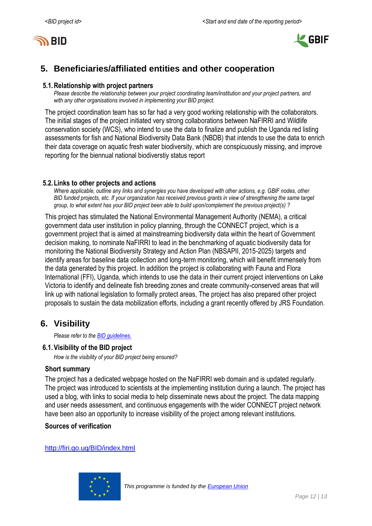



# <span id="page-11-0"></span>**5. Beneficiaries/affiliated entities and other cooperation**

#### **5.1.Relationship with project partners**

*Please describe the relationship between your project coordinating team/institution and your project partners, and with any other organisations involved in implementing your BID project.*

The project coordination team has so far had a very good working relationship with the collaborators. The initial stages of the project initiated very strong collaborations between NaFIRRI and Wildlife conservation society (WCS), who intend to use the data to finalize and publish the Uganda red listing assessments for fish and National Biodiversity Data Bank (NBDB) that intends to use the data to enrich their data coverage on aquatic fresh water biodiversity, which are conspicuously missing, and improve reporting for the biennual national biodiverstiy status report

#### **5.2.Links to other projects and actions**

*Where applicable, outline any links and synergies you have developed with other actions, e.g. GBIF nodes, other BID funded projects, etc. If your organization has received previous grants in view of strengthening the same target group, to what extent has your BID project been able to build upon/complement the previous project(s) ?*

This project has stimulated the National Environmental Management Authority (NEMA), a critical government data user institution in policy planning, through the CONNECT project, which is a government project that is aimed at mainstreaming biodiversity data within the heart of Government decision making, to nominate NaFIRRI to lead in the benchmarking of aquatic biodiversity data for monitoring the National Biodiversity Strategy and Action Plan (NBSAPII, 2015-2025) targets and identify areas for baseline data collection and long-term monitoring, which will benefit immensely from the data generated by this project. In addition the project is collaborating with Fauna and Flora International (FFI), Uganda, which intends to use the data in their current project interventions on Lake Victoria to identify and delineate fish breeding zones and create community-conserved areas that will link up with national legislation to formally protect areas, The project has also prepared other project proposals to sustain the data mobilization efforts, including a grant recently offered by JRS Foundation.

# <span id="page-11-1"></span>**6. Visibility**

*Please refer to th[e BID guidelines.](http://bid.gbif.org/en/community/communication-guidelines/)*

#### **6.1.Visibility of the BID project**

*How is the visibility of your BID project being ensured?*

#### **Short summary**

The project has a dedicated webpage hosted on the NaFIRRI web domain and is updated regularly. The project was introduced to scientists at the implementing institution during a launch. The project has used a blog, with links to social media to help disseminate news about the project. The data mapping and user needs assessment, and continuous engagements with the wider CONNECT project network have been also an opportunity to increase visibility of the project among relevant institutions.

#### **Sources of verification**

<http://firi.go.ug/BID/index.html>